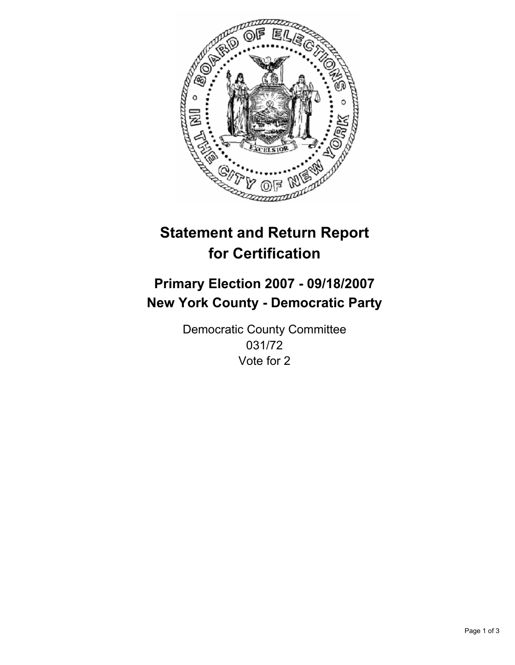

# **Statement and Return Report for Certification**

## **Primary Election 2007 - 09/18/2007 New York County - Democratic Party**

Democratic County Committee 031/72 Vote for 2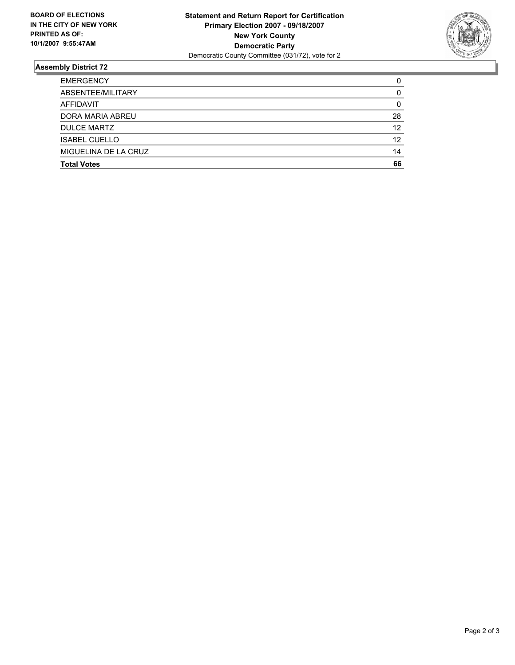

### **Assembly District 72**

| <b>EMERGENCY</b>     |    |
|----------------------|----|
| ABSENTEE/MILITARY    |    |
| AFFIDAVIT            | 0  |
| DORA MARIA ABREU     | 28 |
| <b>DULCE MARTZ</b>   | 12 |
| <b>ISABEL CUELLO</b> | 12 |
| MIGUELINA DE LA CRUZ | 14 |
| <b>Total Votes</b>   | 66 |